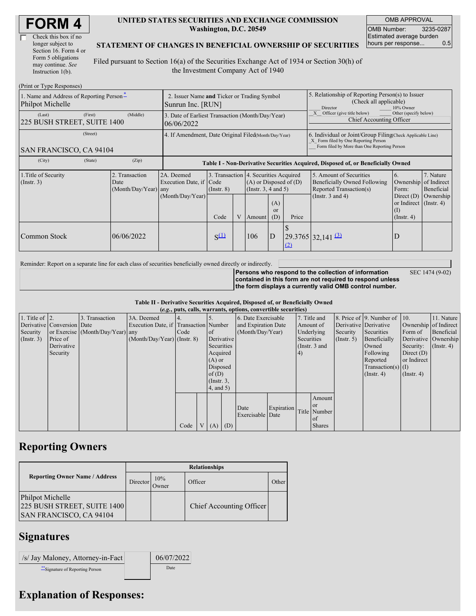| Check this box if no  |  |
|-----------------------|--|
| longer subject to     |  |
| Section 16. Form 4 or |  |
| Form 5 obligations    |  |
| may continue. See     |  |
| Instruction 1(b).     |  |

#### **UNITED STATES SECURITIES AND EXCHANGE COMMISSION Washington, D.C. 20549**

OMB APPROVAL OMB Number: 3235-0287 Estimated average burden hours per response... 0.5

SEC 1474 (9-02)

#### **STATEMENT OF CHANGES IN BENEFICIAL OWNERSHIP OF SECURITIES**

Filed pursuant to Section 16(a) of the Securities Exchange Act of 1934 or Section 30(h) of the Investment Company Act of 1940

| (Print or Type Responses)                                    |                                                                  |                                                                                                                                                         |           |  |        |                                                                                                                            |                                                                                                                                                    |                                                                                  |                                                                   |           |  |
|--------------------------------------------------------------|------------------------------------------------------------------|---------------------------------------------------------------------------------------------------------------------------------------------------------|-----------|--|--------|----------------------------------------------------------------------------------------------------------------------------|----------------------------------------------------------------------------------------------------------------------------------------------------|----------------------------------------------------------------------------------|-------------------------------------------------------------------|-----------|--|
| 1. Name and Address of Reporting Person-<br>Philpot Michelle | 2. Issuer Name and Ticker or Trading Symbol<br>Sunrun Inc. [RUN] |                                                                                                                                                         |           |  |        |                                                                                                                            | 5. Relationship of Reporting Person(s) to Issuer<br>(Check all applicable)<br>10% Owner<br>Director                                                |                                                                                  |                                                                   |           |  |
| (First)<br>(Last)<br>225 BUSH STREET, SUITE 1400             | (Middle)                                                         | 3. Date of Earliest Transaction (Month/Day/Year)<br>06/06/2022                                                                                          |           |  |        |                                                                                                                            |                                                                                                                                                    | Officer (give title below)<br>Other (specify below)<br>Chief Accounting Officer  |                                                                   |           |  |
| (Street)<br>SAN FRANCISCO, CA 94104                          | 4. If Amendment, Date Original Filed(Month/Day/Year)             |                                                                                                                                                         |           |  |        |                                                                                                                            | 6. Individual or Joint/Group Filing Check Applicable Line)<br>X Form filed by One Reporting Person<br>Form filed by More than One Reporting Person |                                                                                  |                                                                   |           |  |
| (City)<br>(State)                                            | (Zip)                                                            |                                                                                                                                                         |           |  |        |                                                                                                                            |                                                                                                                                                    | Table I - Non-Derivative Securities Acquired, Disposed of, or Beneficially Owned |                                                                   |           |  |
| 1. Title of Security<br>$($ Instr. 3 $)$                     | 2. Transaction<br>Date<br>(Month/Day/Year) any                   | 3. Transaction 4. Securities Acquired<br>2A. Deemed<br>Execution Date, if Code<br>$(A)$ or Disposed of $(D)$<br>(Insert. 3, 4 and 5)<br>$($ Instr. $8)$ |           |  |        | 5. Amount of Securities<br>6.<br>Beneficially Owned Following<br>Ownership of Indirect<br>Reported Transaction(s)<br>Form: |                                                                                                                                                    | 7. Nature<br>Beneficial                                                          |                                                                   |           |  |
|                                                              |                                                                  | (Month/Day/Year)                                                                                                                                        | Code      |  | Amount | (A)<br><sub>or</sub><br>(D)                                                                                                | Price                                                                                                                                              | (Instr. $3$ and $4$ )                                                            | Direct $(D)$<br>or Indirect (Instr. 4)<br>(I)<br>$($ Instr. 4 $)$ | Ownership |  |
| Common Stock                                                 | 06/06/2022                                                       |                                                                                                                                                         | $S^{(1)}$ |  | 106    | ID                                                                                                                         | (2)                                                                                                                                                | $29.3765$ 32,141 $\overline{3}$                                                  | D                                                                 |           |  |

Reminder: Report on a separate line for each class of securities beneficially owned directly or indirectly.

**Persons who respond to the collection of information contained in this form are not required to respond unless the form displays a currently valid OMB control number.**

**Table II - Derivative Securities Acquired, Disposed of, or Beneficially Owned**

|                        | (e.g., puts, calls, warrants, options, convertible securities) |                                  |                                       |      |  |                 |     |                     |            |               |               |               |                          |                       |                  |
|------------------------|----------------------------------------------------------------|----------------------------------|---------------------------------------|------|--|-----------------|-----|---------------------|------------|---------------|---------------|---------------|--------------------------|-----------------------|------------------|
| 1. Title of $\vert$ 2. |                                                                | 3. Transaction                   | 3A. Deemed                            |      |  |                 |     | 6. Date Exercisable |            |               | 7. Title and  |               | 8. Price of 9. Number of | $\vert$ 10.           | 11. Nature       |
|                        | Derivative Conversion Date                                     |                                  | Execution Date, if Transaction Number |      |  |                 |     | and Expiration Date |            |               | Amount of     |               | Derivative Derivative    | Ownership of Indirect |                  |
| Security               |                                                                | or Exercise (Month/Day/Year) any |                                       | Code |  | of              |     | (Month/Day/Year)    |            |               | Underlying    | Security      | Securities               | Form of               | Beneficial       |
| $($ Instr. 3 $)$       | Price of                                                       |                                  | $(Month/Day/Year)$ (Instr. 8)         |      |  | Derivative      |     |                     |            | Securities    |               | $($ Instr. 5) | Beneficially             | Derivative Ownership  |                  |
|                        | Derivative                                                     |                                  |                                       |      |  | Securities      |     |                     |            | (Instr. 3 and |               |               | Owned                    | Security:             | $($ Instr. 4 $)$ |
|                        | Security                                                       |                                  |                                       |      |  | Acquired        |     |                     |            | 4)            |               |               | Following                | Direct $(D)$          |                  |
|                        |                                                                |                                  |                                       |      |  | $(A)$ or        |     |                     |            |               |               |               | Reported                 | or Indirect           |                  |
|                        |                                                                |                                  |                                       |      |  | Disposed        |     |                     |            |               |               |               | Transaction(s) $(I)$     |                       |                  |
|                        |                                                                |                                  |                                       |      |  | of $(D)$        |     |                     |            |               |               |               | $($ Instr. 4 $)$         | $($ Instr. 4 $)$      |                  |
|                        |                                                                |                                  |                                       |      |  | $($ Instr. 3,   |     |                     |            |               |               |               |                          |                       |                  |
|                        |                                                                |                                  |                                       |      |  | $4$ , and $5$ ) |     |                     |            |               |               |               |                          |                       |                  |
|                        |                                                                |                                  |                                       |      |  |                 |     |                     |            |               | Amount        |               |                          |                       |                  |
|                        |                                                                |                                  |                                       |      |  |                 |     |                     |            |               | <sub>or</sub> |               |                          |                       |                  |
|                        |                                                                |                                  |                                       |      |  |                 |     | Date                | Expiration |               | Title Number  |               |                          |                       |                  |
|                        |                                                                |                                  |                                       |      |  |                 |     | Exercisable Date    |            |               | of            |               |                          |                       |                  |
|                        |                                                                |                                  |                                       | Code |  | V(A)            | (D) |                     |            |               | <b>Shares</b> |               |                          |                       |                  |

## **Reporting Owners**

|                                                                                   | <b>Relationships</b> |              |                          |       |  |  |  |  |
|-----------------------------------------------------------------------------------|----------------------|--------------|--------------------------|-------|--|--|--|--|
| <b>Reporting Owner Name / Address</b>                                             | Director             | 10%<br>Owner | Officer                  | Other |  |  |  |  |
| Philpot Michelle<br>225 BUSH STREET, SUITE 1400<br><b>SAN FRANCISCO, CA 94104</b> |                      |              | Chief Accounting Officer |       |  |  |  |  |

# **Signatures**

| /s/ Jay Maloney, Attorney-in-Fact | 06/07/2022 |
|-----------------------------------|------------|
| ** Signature of Reporting Person  | Date       |

## **Explanation of Responses:**